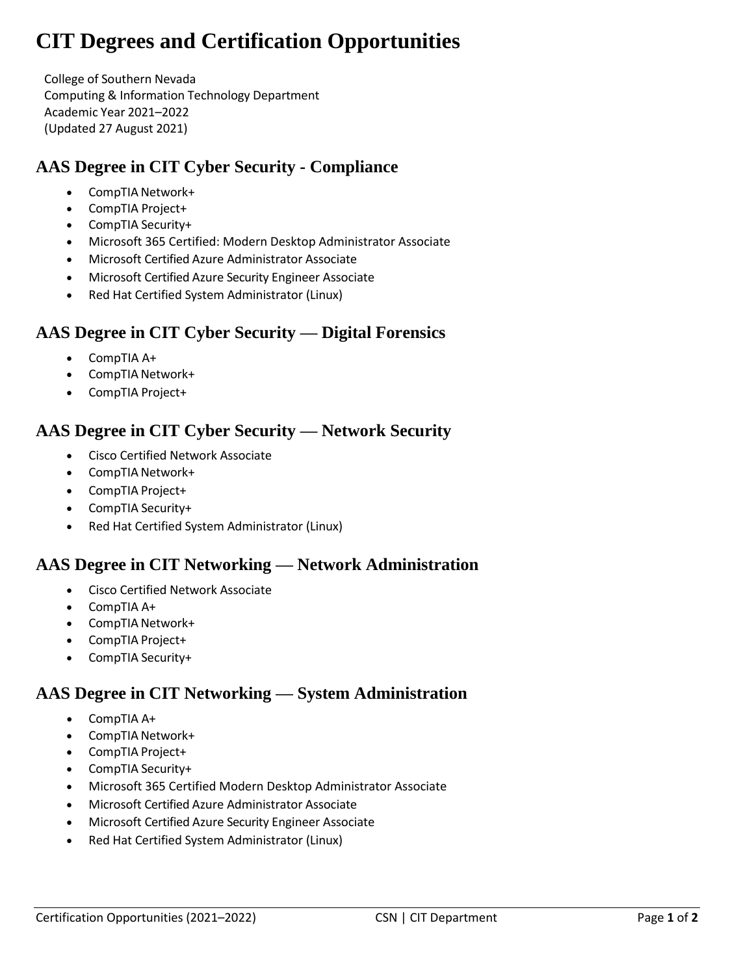# **CIT Degrees and Certification Opportunities**

College of Southern Nevada Computing & Information Technology Department Academic Year 2021–2022 (Updated 27 August 2021)

# **AAS Degree in CIT Cyber Security - Compliance**

- CompTIA Network+
- CompTIA Project+
- CompTIA Security+
- Microsoft 365 Certified: Modern Desktop Administrator Associate
- Microsoft Certified Azure Administrator Associate
- Microsoft Certified Azure Security Engineer Associate
- Red Hat Certified System Administrator (Linux)

# **AAS Degree in CIT Cyber Security — Digital Forensics**

- CompTIA A+
- CompTIA Network+
- CompTIA Project+

# **AAS Degree in CIT Cyber Security — Network Security**

- Cisco Certified Network Associate
- CompTIA Network+
- CompTIA Project+
- CompTIA Security+
- Red Hat Certified System Administrator (Linux)

#### **AAS Degree in CIT Networking — Network Administration**

- Cisco Certified Network Associate
- CompTIA A+
- CompTIA Network+
- CompTIA Project+
- CompTIA Security+

# **AAS Degree in CIT Networking — System Administration**

- CompTIA A+
- CompTIA Network+
- CompTIA Project+
- CompTIA Security+
- Microsoft 365 Certified Modern Desktop Administrator Associate
- Microsoft Certified Azure Administrator Associate
- Microsoft Certified Azure Security Engineer Associate
- Red Hat Certified System Administrator (Linux)